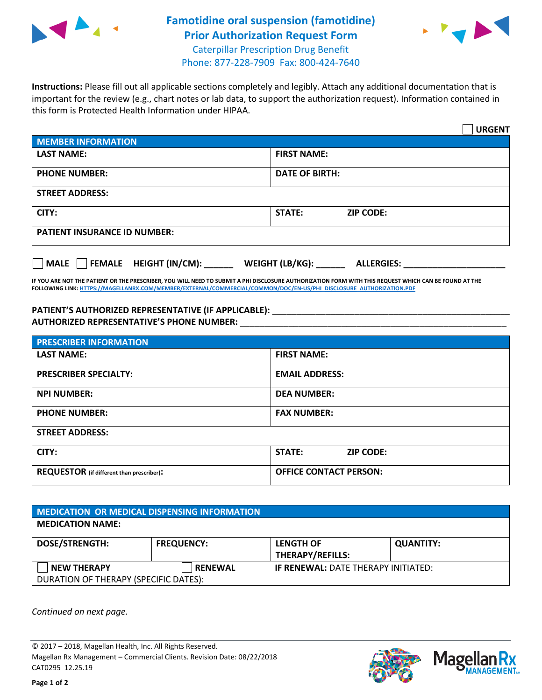

## **Famotidine oral suspension (famotidine) Prior Authorization Request Form** Caterpillar Prescription Drug Benefit



Phone: 877-228-7909 Fax: 800-424-7640

**Instructions:** Please fill out all applicable sections completely and legibly. Attach any additional documentation that is important for the review (e.g., chart notes or lab data, to support the authorization request). Information contained in this form is Protected Health Information under HIPAA.

|                                       |                                      | <b>URGENT</b> |
|---------------------------------------|--------------------------------------|---------------|
| <b>MEMBER INFORMATION</b>             |                                      |               |
| <b>LAST NAME:</b>                     | <b>FIRST NAME:</b>                   |               |
| <b>PHONE NUMBER:</b>                  | <b>DATE OF BIRTH:</b>                |               |
| <b>STREET ADDRESS:</b>                |                                      |               |
| CITY:                                 | <b>ZIP CODE:</b><br>STATE:           |               |
| <b>PATIENT INSURANCE ID NUMBER:</b>   |                                      |               |
| FEMALE HEIGHT (IN/CM):<br><b>MALE</b> | WEIGHT (LB/KG):<br><b>ALLERGIES:</b> |               |

**IF YOU ARE NOT THE PATIENT OR THE PRESCRIBER, YOU WILL NEED TO SUBMIT A PHI DISCLOSURE AUTHORIZATION FORM WITH THIS REQUEST WHICH CAN BE FOUND AT THE FOLLOWING LINK[: HTTPS://MAGELLANRX.COM/MEMBER/EXTERNAL/COMMERCIAL/COMMON/DOC/EN-US/PHI\\_DISCLOSURE\\_AUTHORIZATION.PDF](https://magellanrx.com/member/external/commercial/common/doc/en-us/PHI_Disclosure_Authorization.pdf)**

PATIENT'S AUTHORIZED REPRESENTATIVE (IF APPLICABLE): \_\_\_\_\_\_\_\_\_\_\_\_\_\_\_\_\_\_\_\_\_\_\_\_\_\_\_ **AUTHORIZED REPRESENTATIVE'S PHONE NUMBER:** \_\_\_\_\_\_\_\_\_\_\_\_\_\_\_\_\_\_\_\_\_\_\_\_\_\_\_\_\_\_\_\_\_\_\_\_\_\_\_\_\_\_\_\_\_\_\_\_\_\_\_\_\_\_\_

| <b>PRESCRIBER INFORMATION</b>             |                               |  |
|-------------------------------------------|-------------------------------|--|
| <b>LAST NAME:</b>                         | <b>FIRST NAME:</b>            |  |
| <b>PRESCRIBER SPECIALTY:</b>              | <b>EMAIL ADDRESS:</b>         |  |
| <b>NPI NUMBER:</b>                        | <b>DEA NUMBER:</b>            |  |
| <b>PHONE NUMBER:</b>                      | <b>FAX NUMBER:</b>            |  |
| <b>STREET ADDRESS:</b>                    |                               |  |
| CITY:                                     | STATE:<br><b>ZIP CODE:</b>    |  |
| REQUESTOR (if different than prescriber): | <b>OFFICE CONTACT PERSON:</b> |  |

| <b>MEDICATION OR MEDICAL DISPENSING INFORMATION</b> |                   |                                            |                  |  |  |
|-----------------------------------------------------|-------------------|--------------------------------------------|------------------|--|--|
| <b>MEDICATION NAME:</b>                             |                   |                                            |                  |  |  |
| <b>DOSE/STRENGTH:</b>                               | <b>FREQUENCY:</b> | <b>LENGTH OF</b>                           | <b>QUANTITY:</b> |  |  |
|                                                     |                   | <b>THERAPY/REFILLS:</b>                    |                  |  |  |
| <b>NEW THERAPY</b>                                  | <b>RENEWAL</b>    | <b>IF RENEWAL: DATE THERAPY INITIATED:</b> |                  |  |  |
| DURATION OF THERAPY (SPECIFIC DATES):               |                   |                                            |                  |  |  |

*Continued on next page.*

© 2017 – 2018, Magellan Health, Inc. All Rights Reserved. Magellan Rx Management – Commercial Clients. Revision Date: 08/22/2018 CAT0295 12.25.19